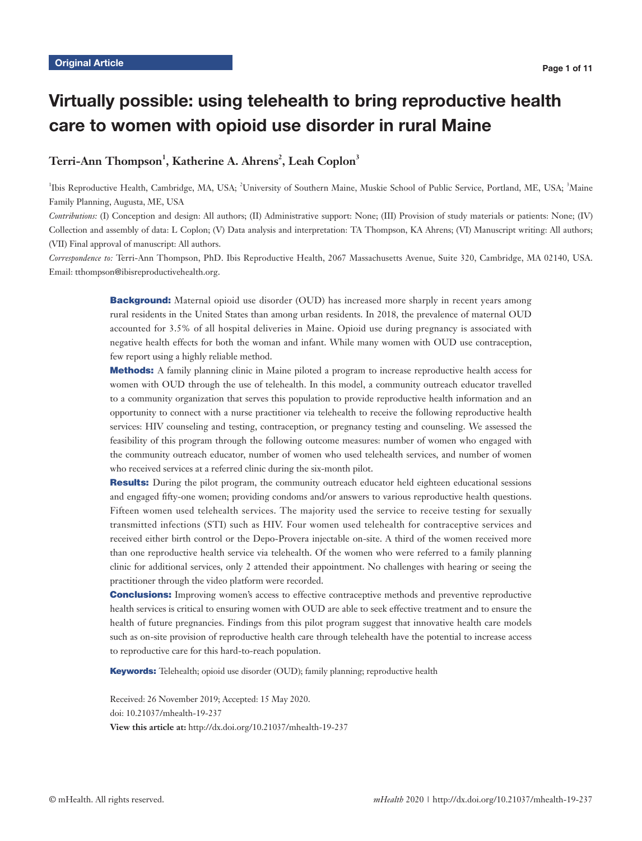# Virtually possible: using telehealth to bring reproductive health care to women with opioid use disorder in rural Maine

# $\operatorname{Terri-Ann}$   $\operatorname{Thompson}^1,$   $\operatorname{Katherine}$   $\operatorname{A}.$   $\operatorname{Ahrens}^2,$   $\operatorname{Leah}$   $\operatorname{Coplon}^3$

<sup>1</sup>Ibis Reproductive Health, Cambridge, MA, USA; <sup>2</sup>University of Southern Maine, Muskie School of Public Service, Portland, ME, USA; <sup>3</sup>Maine Family Planning, Augusta, ME, USA

*Contributions:* (I) Conception and design: All authors; (II) Administrative support: None; (III) Provision of study materials or patients: None; (IV) Collection and assembly of data: L Coplon; (V) Data analysis and interpretation: TA Thompson, KA Ahrens; (VI) Manuscript writing: All authors; (VII) Final approval of manuscript: All authors.

*Correspondence to:* Terri-Ann Thompson, PhD. Ibis Reproductive Health, 2067 Massachusetts Avenue, Suite 320, Cambridge, MA 02140, USA. Email: tthompson@ibisreproductivehealth.org.

> **Background:** Maternal opioid use disorder (OUD) has increased more sharply in recent years among rural residents in the United States than among urban residents. In 2018, the prevalence of maternal OUD accounted for 3.5% of all hospital deliveries in Maine. Opioid use during pregnancy is associated with negative health effects for both the woman and infant. While many women with OUD use contraception, few report using a highly reliable method.

> Methods: A family planning clinic in Maine piloted a program to increase reproductive health access for women with OUD through the use of telehealth. In this model, a community outreach educator travelled to a community organization that serves this population to provide reproductive health information and an opportunity to connect with a nurse practitioner via telehealth to receive the following reproductive health services: HIV counseling and testing, contraception, or pregnancy testing and counseling. We assessed the feasibility of this program through the following outcome measures: number of women who engaged with the community outreach educator, number of women who used telehealth services, and number of women who received services at a referred clinic during the six-month pilot.

> Results: During the pilot program, the community outreach educator held eighteen educational sessions and engaged fifty-one women; providing condoms and/or answers to various reproductive health questions. Fifteen women used telehealth services. The majority used the service to receive testing for sexually transmitted infections (STI) such as HIV. Four women used telehealth for contraceptive services and received either birth control or the Depo-Provera injectable on-site. A third of the women received more than one reproductive health service via telehealth. Of the women who were referred to a family planning clinic for additional services, only 2 attended their appointment. No challenges with hearing or seeing the practitioner through the video platform were recorded.

> **Conclusions:** Improving women's access to effective contraceptive methods and preventive reproductive health services is critical to ensuring women with OUD are able to seek effective treatment and to ensure the health of future pregnancies. Findings from this pilot program suggest that innovative health care models such as on-site provision of reproductive health care through telehealth have the potential to increase access to reproductive care for this hard-to-reach population.

Keywords: Telehealth; opioid use disorder (OUD); family planning; reproductive health

Received: 26 November 2019; Accepted: 15 May 2020. doi: 10.21037/mhealth-19-237 **View this article at:** http://dx.doi.org/10.21037/mhealth-19-237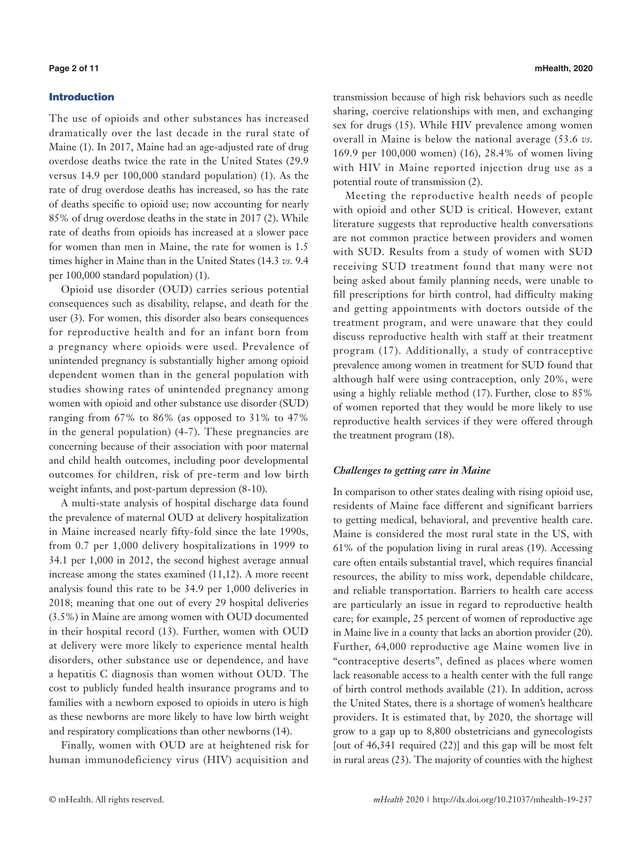# Introduction

The use of opioids and other substances has increased dramatically over the last decade in the rural state of Maine (1). In 2017, Maine had an age-adjusted rate of drug overdose deaths twice the rate in the United States (29.9 versus 14.9 per 100,000 standard population) (1). As the rate of drug overdose deaths has increased, so has the rate of deaths specific to opioid use; now accounting for nearly 85% of drug overdose deaths in the state in 2017 (2). While rate of deaths from opioids has increased at a slower pace for women than men in Maine, the rate for women is 1.5 times higher in Maine than in the United States (14.3 *vs.* 9.4 per 100,000 standard population) (1).

Opioid use disorder (OUD) carries serious potential consequences such as disability, relapse, and death for the user (3). For women, this disorder also bears consequences for reproductive health and for an infant born from a pregnancy where opioids were used. Prevalence of unintended pregnancy is substantially higher among opioid dependent women than in the general population with studies showing rates of unintended pregnancy among women with opioid and other substance use disorder (SUD) ranging from 67% to 86% (as opposed to 31% to 47% in the general population) (4-7). These pregnancies are concerning because of their association with poor maternal and child health outcomes, including poor developmental outcomes for children, risk of pre-term and low birth weight infants, and post-partum depression (8-10).

A multi-state analysis of hospital discharge data found the prevalence of maternal OUD at delivery hospitalization in Maine increased nearly fifty-fold since the late 1990s, from 0.7 per 1,000 delivery hospitalizations in 1999 to 34.1 per 1,000 in 2012, the second highest average annual increase among the states examined (11,12). A more recent analysis found this rate to be 34.9 per 1,000 deliveries in 2018; meaning that one out of every 29 hospital deliveries (3.5%) in Maine are among women with OUD documented in their hospital record (13). Further, women with OUD at delivery were more likely to experience mental health disorders, other substance use or dependence, and have a hepatitis C diagnosis than women without OUD. The cost to publicly funded health insurance programs and to families with a newborn exposed to opioids in utero is high as these newborns are more likely to have low birth weight and respiratory complications than other newborns (14).

Finally, women with OUD are at heightened risk for human immunodeficiency virus (HIV) acquisition and

transmission because of high risk behaviors such as needle sharing, coercive relationships with men, and exchanging sex for drugs (15). While HIV prevalence among women overall in Maine is below the national average (53.6 *vs.* 169.9 per 100,000 women) (16), 28.4% of women living with HIV in Maine reported injection drug use as a potential route of transmission (2).

Meeting the reproductive health needs of people with opioid and other SUD is critical. However, extant literature suggests that reproductive health conversations are not common practice between providers and women with SUD. Results from a study of women with SUD receiving SUD treatment found that many were not being asked about family planning needs, were unable to fill prescriptions for birth control, had difficulty making and getting appointments with doctors outside of the treatment program, and were unaware that they could discuss reproductive health with staff at their treatment program (17). Additionally, a study of contraceptive prevalence among women in treatment for SUD found that although half were using contraception, only 20%, were using a highly reliable method (17). Further, close to 85% of women reported that they would be more likely to use reproductive health services if they were offered through the treatment program (18).

# *Challenges to getting care in Maine*

In comparison to other states dealing with rising opioid use, residents of Maine face different and significant barriers to getting medical, behavioral, and preventive health care. Maine is considered the most rural state in the US, with 61% of the population living in rural areas (19). Accessing care often entails substantial travel, which requires financial resources, the ability to miss work, dependable childcare, and reliable transportation. Barriers to health care access are particularly an issue in regard to reproductive health care; for example, 25 percent of women of reproductive age in Maine live in a county that lacks an abortion provider (20). Further, 64,000 reproductive age Maine women live in "contraceptive deserts", defined as places where women lack reasonable access to a health center with the full range of birth control methods available (21). In addition, across the United States, there is a shortage of women's healthcare providers. It is estimated that, by 2020, the shortage will grow to a gap up to 8,800 obstetricians and gynecologists [out of 46,341 required (22)] and this gap will be most felt in rural areas (23). The majority of counties with the highest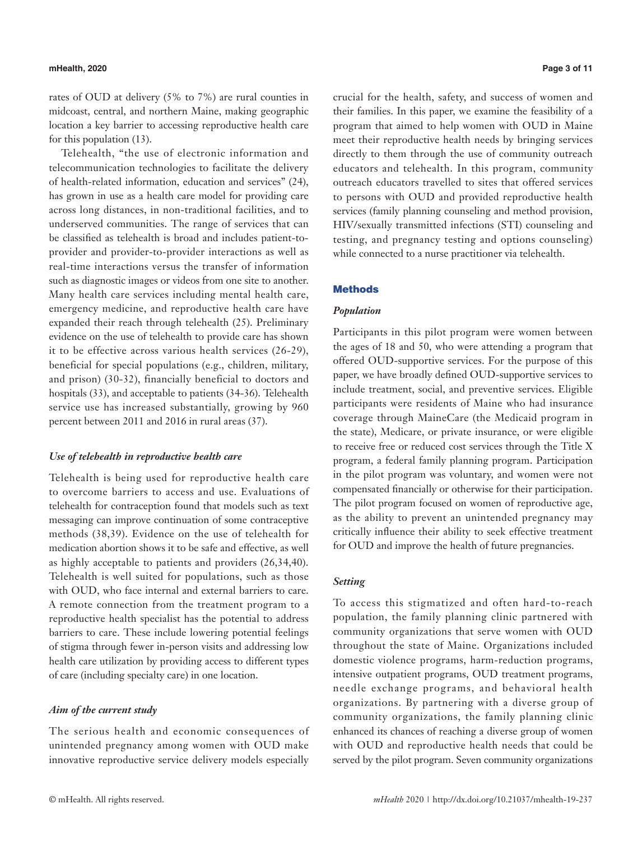### **mHealth, 2020 Page 3 of 11**

rates of OUD at delivery (5% to 7%) are rural counties in midcoast, central, and northern Maine, making geographic location a key barrier to accessing reproductive health care for this population (13).

Telehealth, "the use of electronic information and telecommunication technologies to facilitate the delivery of health-related information, education and services" (24), has grown in use as a health care model for providing care across long distances, in non-traditional facilities, and to underserved communities. The range of services that can be classified as telehealth is broad and includes patient-toprovider and provider-to-provider interactions as well as real-time interactions versus the transfer of information such as diagnostic images or videos from one site to another. Many health care services including mental health care, emergency medicine, and reproductive health care have expanded their reach through telehealth (25). Preliminary evidence on the use of telehealth to provide care has shown it to be effective across various health services (26-29), beneficial for special populations (e.g., children, military, and prison) (30-32), financially beneficial to doctors and hospitals (33), and acceptable to patients (34-36). Telehealth service use has increased substantially, growing by 960 percent between 2011 and 2016 in rural areas (37).

# *Use of telehealth in reproductive health care*

Telehealth is being used for reproductive health care to overcome barriers to access and use. Evaluations of telehealth for contraception found that models such as text messaging can improve continuation of some contraceptive methods (38,39). Evidence on the use of telehealth for medication abortion shows it to be safe and effective, as well as highly acceptable to patients and providers (26,34,40). Telehealth is well suited for populations, such as those with OUD, who face internal and external barriers to care. A remote connection from the treatment program to a reproductive health specialist has the potential to address barriers to care. These include lowering potential feelings of stigma through fewer in-person visits and addressing low health care utilization by providing access to different types of care (including specialty care) in one location.

# *Aim of the current study*

The serious health and economic consequences of unintended pregnancy among women with OUD make innovative reproductive service delivery models especially crucial for the health, safety, and success of women and their families. In this paper, we examine the feasibility of a program that aimed to help women with OUD in Maine meet their reproductive health needs by bringing services directly to them through the use of community outreach educators and telehealth. In this program, community outreach educators travelled to sites that offered services to persons with OUD and provided reproductive health services (family planning counseling and method provision, HIV/sexually transmitted infections (STI) counseling and testing, and pregnancy testing and options counseling) while connected to a nurse practitioner via telehealth.

# Methods

# *Population*

Participants in this pilot program were women between the ages of 18 and 50, who were attending a program that offered OUD-supportive services. For the purpose of this paper, we have broadly defined OUD-supportive services to include treatment, social, and preventive services. Eligible participants were residents of Maine who had insurance coverage through MaineCare (the Medicaid program in the state), Medicare, or private insurance, or were eligible to receive free or reduced cost services through the Title X program, a federal family planning program. Participation in the pilot program was voluntary, and women were not compensated financially or otherwise for their participation. The pilot program focused on women of reproductive age, as the ability to prevent an unintended pregnancy may critically influence their ability to seek effective treatment for OUD and improve the health of future pregnancies.

# *Setting*

To access this stigmatized and often hard-to-reach population, the family planning clinic partnered with community organizations that serve women with OUD throughout the state of Maine. Organizations included domestic violence programs, harm-reduction programs, intensive outpatient programs, OUD treatment programs, needle exchange programs, and behavioral health organizations. By partnering with a diverse group of community organizations, the family planning clinic enhanced its chances of reaching a diverse group of women with OUD and reproductive health needs that could be served by the pilot program. Seven community organizations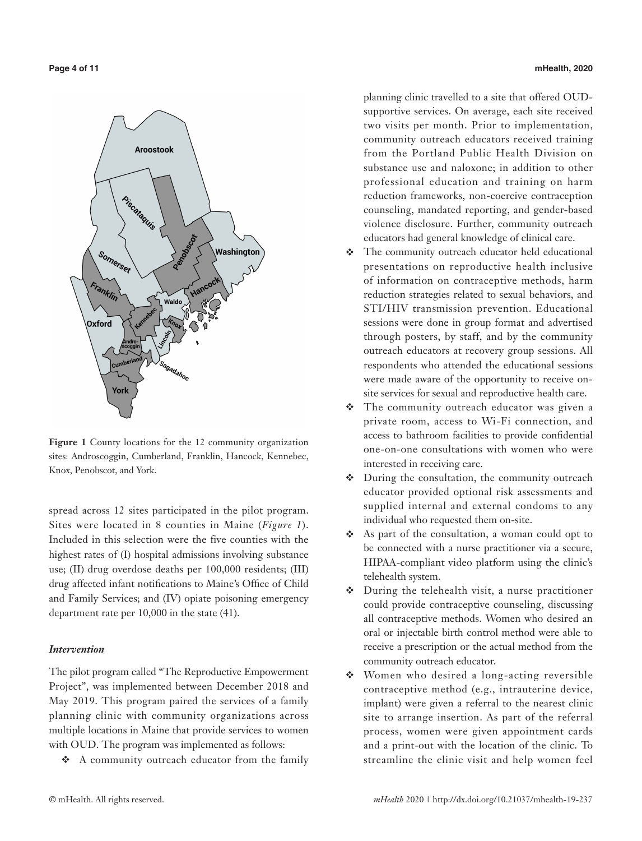

**Figure 1** County locations for the 12 community organization sites: Androscoggin, Cumberland, Franklin, Hancock, Kennebec, Knox, Penobscot, and York.

spread across 12 sites participated in the pilot program. Sites were located in 8 counties in Maine (*Figure 1*). Included in this selection were the five counties with the highest rates of (I) hospital admissions involving substance use; (II) drug overdose deaths per 100,000 residents; (III) drug affected infant notifications to Maine's Office of Child and Family Services; and (IV) opiate poisoning emergency department rate per 10,000 in the state (41).

# *Intervention*

The pilot program called "The Reproductive Empowerment Project", was implemented between December 2018 and May 2019. This program paired the services of a family planning clinic with community organizations across multiple locations in Maine that provide services to women with OUD. The program was implemented as follows:

A community outreach educator from the family

**Page 4 of 11 mHealth, 2020**

planning clinic travelled to a site that offered OUDsupportive services. On average, each site received two visits per month. Prior to implementation, community outreach educators received training from the Portland Public Health Division on substance use and naloxone; in addition to other professional education and training on harm reduction frameworks, non-coercive contraception counseling, mandated reporting, and gender-based violence disclosure. Further, community outreach educators had general knowledge of clinical care.

- The community outreach educator held educational presentations on reproductive health inclusive of information on contraceptive methods, harm reduction strategies related to sexual behaviors, and STI/HIV transmission prevention. Educational sessions were done in group format and advertised through posters, by staff, and by the community outreach educators at recovery group sessions. All respondents who attended the educational sessions were made aware of the opportunity to receive onsite services for sexual and reproductive health care.
- \* The community outreach educator was given a private room, access to Wi-Fi connection, and access to bathroom facilities to provide confidential one-on-one consultations with women who were interested in receiving care.
- During the consultation, the community outreach educator provided optional risk assessments and supplied internal and external condoms to any individual who requested them on-site.
- As part of the consultation, a woman could opt to be connected with a nurse practitioner via a secure, HIPAA-compliant video platform using the clinic's telehealth system.
- During the telehealth visit, a nurse practitioner could provide contraceptive counseling, discussing all contraceptive methods. Women who desired an oral or injectable birth control method were able to receive a prescription or the actual method from the community outreach educator.
- Women who desired a long-acting reversible contraceptive method (e.g., intrauterine device, implant) were given a referral to the nearest clinic site to arrange insertion. As part of the referral process, women were given appointment cards and a print-out with the location of the clinic. To streamline the clinic visit and help women feel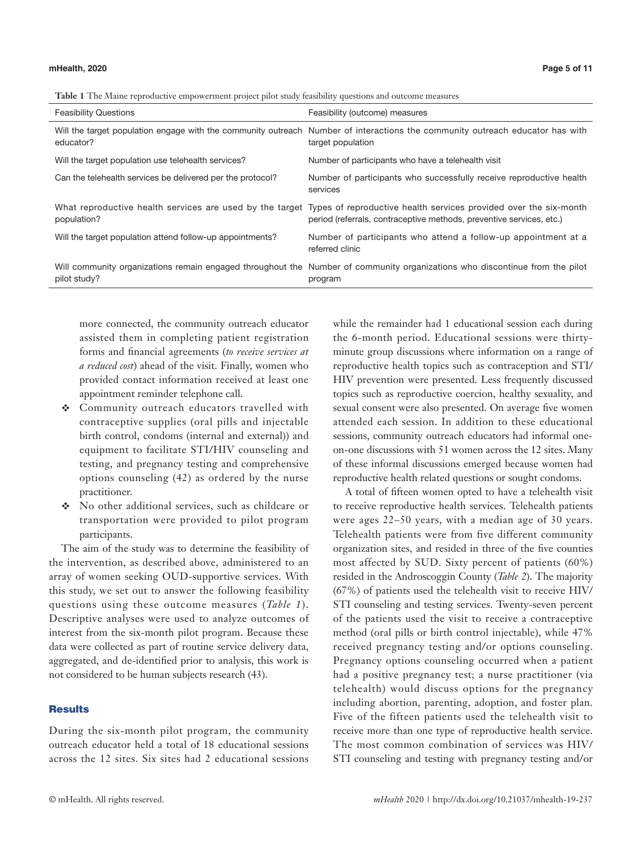| <b>Table 1</b> The Maine reproductive empowerment project pilot study feasibility questions and outcome measures |  |  |  |
|------------------------------------------------------------------------------------------------------------------|--|--|--|
|                                                                                                                  |  |  |  |

| <b>Feasibility Questions</b>                               | Feasibility (outcome) measures                                                                                                                                                                     |
|------------------------------------------------------------|----------------------------------------------------------------------------------------------------------------------------------------------------------------------------------------------------|
| educator?                                                  | Will the target population engage with the community outreach Number of interactions the community outreach educator has with<br>target population                                                 |
| Will the target population use telehealth services?        | Number of participants who have a telehealth visit                                                                                                                                                 |
| Can the telehealth services be delivered per the protocol? | Number of participants who successfully receive reproductive health<br>services                                                                                                                    |
| population?                                                | What reproductive health services are used by the target Types of reproductive health services provided over the six-month<br>period (referrals, contraceptive methods, preventive services, etc.) |
| Will the target population attend follow-up appointments?  | Number of participants who attend a follow-up appointment at a<br>referred clinic                                                                                                                  |
| pilot study?                                               | Will community organizations remain engaged throughout the Number of community organizations who discontinue from the pilot<br>program                                                             |

more connected, the community outreach educator assisted them in completing patient registration forms and financial agreements (*to receive services at a reduced cost*) ahead of the visit. Finally, women who provided contact information received at least one appointment reminder telephone call.

- Community outreach educators travelled with contraceptive supplies (oral pills and injectable birth control, condoms (internal and external)) and equipment to facilitate STI/HIV counseling and testing, and pregnancy testing and comprehensive options counseling (42) as ordered by the nurse practitioner.
- No other additional services, such as childcare or transportation were provided to pilot program participants.

The aim of the study was to determine the feasibility of the intervention, as described above, administered to an array of women seeking OUD-supportive services. With this study, we set out to answer the following feasibility questions using these outcome measures (*Table 1*). Descriptive analyses were used to analyze outcomes of interest from the six-month pilot program. Because these data were collected as part of routine service delivery data, aggregated, and de-identified prior to analysis, this work is not considered to be human subjects research (43).

# **Results**

During the six-month pilot program, the community outreach educator held a total of 18 educational sessions across the 12 sites. Six sites had 2 educational sessions

while the remainder had 1 educational session each during the 6-month period. Educational sessions were thirtyminute group discussions where information on a range of reproductive health topics such as contraception and STI/ HIV prevention were presented. Less frequently discussed topics such as reproductive coercion, healthy sexuality, and sexual consent were also presented. On average five women attended each session. In addition to these educational sessions, community outreach educators had informal oneon-one discussions with 51 women across the 12 sites. Many of these informal discussions emerged because women had reproductive health related questions or sought condoms.

A total of fifteen women opted to have a telehealth visit to receive reproductive health services. Telehealth patients were ages 22–50 years, with a median age of 30 years. Telehealth patients were from five different community organization sites, and resided in three of the five counties most affected by SUD. Sixty percent of patients (60%) resided in the Androscoggin County (*Table 2*). The majority (67%) of patients used the telehealth visit to receive HIV/ STI counseling and testing services. Twenty-seven percent of the patients used the visit to receive a contraceptive method (oral pills or birth control injectable), while 47% received pregnancy testing and/or options counseling. Pregnancy options counseling occurred when a patient had a positive pregnancy test; a nurse practitioner (via telehealth) would discuss options for the pregnancy including abortion, parenting, adoption, and foster plan. Five of the fifteen patients used the telehealth visit to receive more than one type of reproductive health service. The most common combination of services was HIV/ STI counseling and testing with pregnancy testing and/or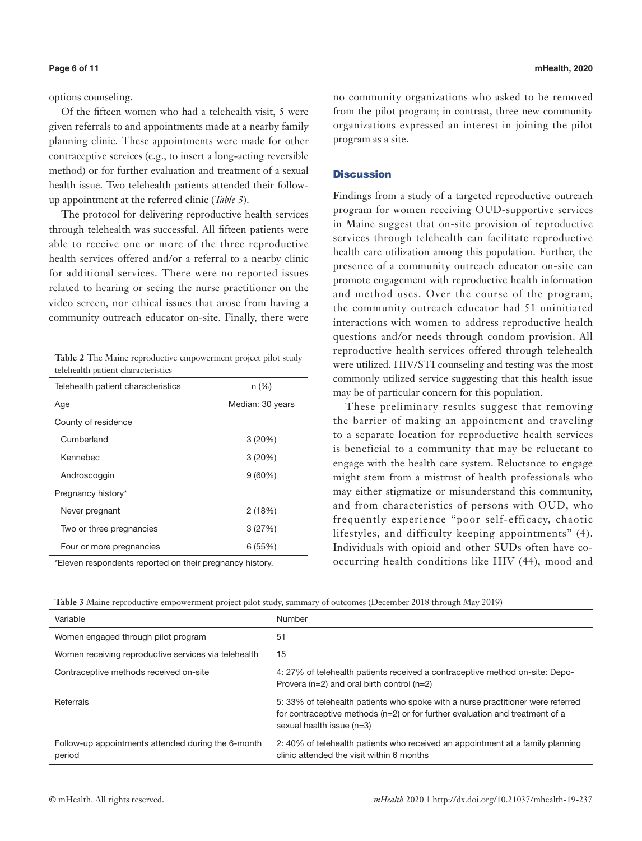options counseling.

Of the fifteen women who had a telehealth visit, 5 were given referrals to and appointments made at a nearby family planning clinic. These appointments were made for other contraceptive services (e.g., to insert a long-acting reversible method) or for further evaluation and treatment of a sexual health issue. Two telehealth patients attended their followup appointment at the referred clinic (*Table 3*).

The protocol for delivering reproductive health services through telehealth was successful. All fifteen patients were able to receive one or more of the three reproductive health services offered and/or a referral to a nearby clinic for additional services. There were no reported issues related to hearing or seeing the nurse practitioner on the video screen, nor ethical issues that arose from having a community outreach educator on-site. Finally, there were

|  |                                    | Table 2 The Maine reproductive empowerment project pilot study |  |
|--|------------------------------------|----------------------------------------------------------------|--|
|  | telehealth patient characteristics |                                                                |  |

| Telehealth patient characteristics | $n (\%)$         |  |
|------------------------------------|------------------|--|
| Age                                | Median: 30 years |  |
| County of residence                |                  |  |
| Cumberland                         | 3(20%)           |  |
| Kennebec                           | 3(20%)           |  |
| Androscoggin                       | 9(60%)           |  |
| Pregnancy history*                 |                  |  |
| Never pregnant                     | 2(18%)           |  |
| Two or three pregnancies           | 3(27%)           |  |
| Four or more pregnancies           | 6(55%)           |  |

\*Eleven respondents reported on their pregnancy history.

no community organizations who asked to be removed from the pilot program; in contrast, three new community organizations expressed an interest in joining the pilot program as a site.

# **Discussion**

Findings from a study of a targeted reproductive outreach program for women receiving OUD-supportive services in Maine suggest that on-site provision of reproductive services through telehealth can facilitate reproductive health care utilization among this population. Further, the presence of a community outreach educator on-site can promote engagement with reproductive health information and method uses. Over the course of the program, the community outreach educator had 51 uninitiated interactions with women to address reproductive health questions and/or needs through condom provision. All reproductive health services offered through telehealth were utilized. HIV/STI counseling and testing was the most commonly utilized service suggesting that this health issue may be of particular concern for this population.

These preliminary results suggest that removing the barrier of making an appointment and traveling to a separate location for reproductive health services is beneficial to a community that may be reluctant to engage with the health care system. Reluctance to engage might stem from a mistrust of health professionals who may either stigmatize or misunderstand this community, and from characteristics of persons with OUD, who frequently experience "poor self-efficacy, chaotic lifestyles, and difficulty keeping appointments" (4). Individuals with opioid and other SUDs often have cooccurring health conditions like HIV (44), mood and

**Table 3** Maine reproductive empowerment project pilot study, summary of outcomes (December 2018 through May 2019)

| Variable                                                     | Number                                                                                                                                                                                        |
|--------------------------------------------------------------|-----------------------------------------------------------------------------------------------------------------------------------------------------------------------------------------------|
| Women engaged through pilot program                          | 51                                                                                                                                                                                            |
| Women receiving reproductive services via telehealth         | 15                                                                                                                                                                                            |
| Contraceptive methods received on-site                       | 4: 27% of telehealth patients received a contraceptive method on-site: Depo-<br>Provera $(n=2)$ and oral birth control $(n=2)$                                                                |
| Referrals                                                    | 5:33% of telehealth patients who spoke with a nurse practitioner were referred<br>for contraceptive methods $(n=2)$ or for further evaluation and treatment of a<br>sexual health issue (n=3) |
| Follow-up appointments attended during the 6-month<br>period | 2: 40% of telehealth patients who received an appointment at a family planning<br>clinic attended the visit within 6 months                                                                   |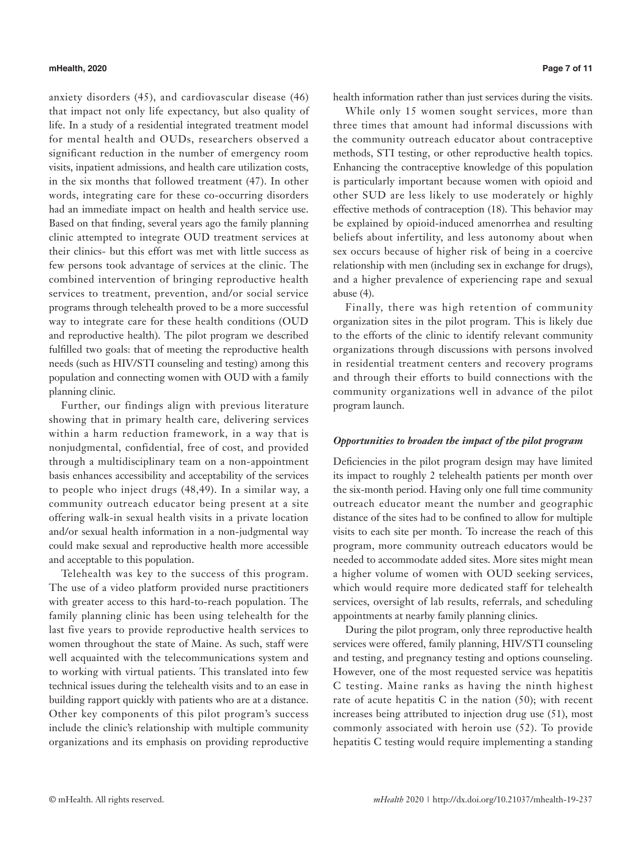### **mHealth, 2020 Page 7 of 11**

anxiety disorders (45), and cardiovascular disease (46) that impact not only life expectancy, but also quality of life. In a study of a residential integrated treatment model for mental health and OUDs, researchers observed a significant reduction in the number of emergency room visits, inpatient admissions, and health care utilization costs, in the six months that followed treatment (47). In other words, integrating care for these co-occurring disorders had an immediate impact on health and health service use. Based on that finding, several years ago the family planning clinic attempted to integrate OUD treatment services at their clinics- but this effort was met with little success as few persons took advantage of services at the clinic. The combined intervention of bringing reproductive health services to treatment, prevention, and/or social service programs through telehealth proved to be a more successful way to integrate care for these health conditions (OUD and reproductive health). The pilot program we described fulfilled two goals: that of meeting the reproductive health needs (such as HIV/STI counseling and testing) among this population and connecting women with OUD with a family planning clinic.

Further, our findings align with previous literature showing that in primary health care, delivering services within a harm reduction framework, in a way that is nonjudgmental, confidential, free of cost, and provided through a multidisciplinary team on a non-appointment basis enhances accessibility and acceptability of the services to people who inject drugs (48,49). In a similar way, a community outreach educator being present at a site offering walk-in sexual health visits in a private location and/or sexual health information in a non-judgmental way could make sexual and reproductive health more accessible and acceptable to this population.

Telehealth was key to the success of this program. The use of a video platform provided nurse practitioners with greater access to this hard-to-reach population. The family planning clinic has been using telehealth for the last five years to provide reproductive health services to women throughout the state of Maine. As such, staff were well acquainted with the telecommunications system and to working with virtual patients. This translated into few technical issues during the telehealth visits and to an ease in building rapport quickly with patients who are at a distance. Other key components of this pilot program's success include the clinic's relationship with multiple community organizations and its emphasis on providing reproductive health information rather than just services during the visits.

While only 15 women sought services, more than three times that amount had informal discussions with the community outreach educator about contraceptive methods, STI testing, or other reproductive health topics. Enhancing the contraceptive knowledge of this population is particularly important because women with opioid and other SUD are less likely to use moderately or highly effective methods of contraception (18). This behavior may be explained by opioid-induced amenorrhea and resulting beliefs about infertility, and less autonomy about when sex occurs because of higher risk of being in a coercive relationship with men (including sex in exchange for drugs), and a higher prevalence of experiencing rape and sexual abuse (4).

Finally, there was high retention of community organization sites in the pilot program. This is likely due to the efforts of the clinic to identify relevant community organizations through discussions with persons involved in residential treatment centers and recovery programs and through their efforts to build connections with the community organizations well in advance of the pilot program launch.

# *Opportunities to broaden the impact of the pilot program*

Deficiencies in the pilot program design may have limited its impact to roughly 2 telehealth patients per month over the six-month period. Having only one full time community outreach educator meant the number and geographic distance of the sites had to be confined to allow for multiple visits to each site per month. To increase the reach of this program, more community outreach educators would be needed to accommodate added sites. More sites might mean a higher volume of women with OUD seeking services, which would require more dedicated staff for telehealth services, oversight of lab results, referrals, and scheduling appointments at nearby family planning clinics.

During the pilot program, only three reproductive health services were offered, family planning, HIV/STI counseling and testing, and pregnancy testing and options counseling. However, one of the most requested service was hepatitis C testing. Maine ranks as having the ninth highest rate of acute hepatitis C in the nation (50); with recent increases being attributed to injection drug use (51), most commonly associated with heroin use (52). To provide hepatitis C testing would require implementing a standing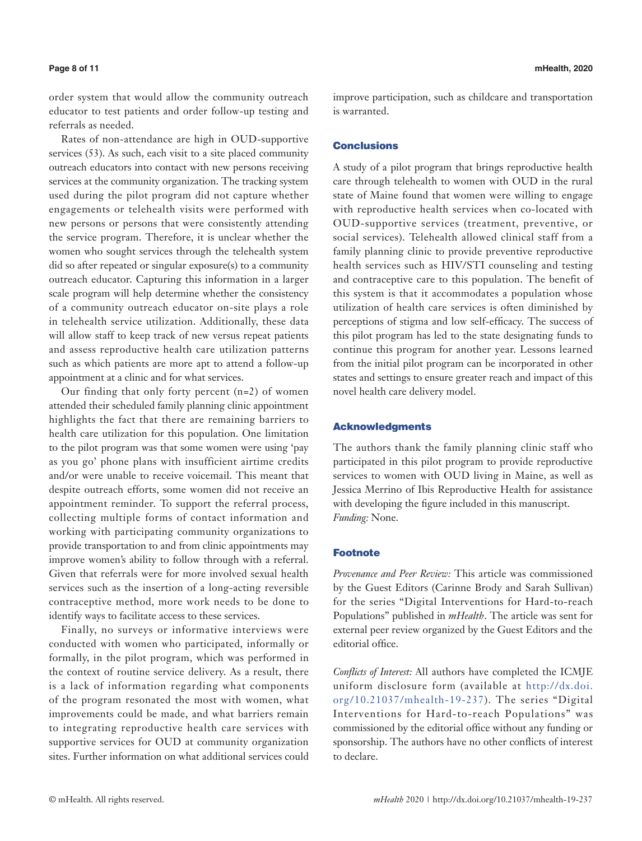order system that would allow the community outreach educator to test patients and order follow-up testing and referrals as needed.

Rates of non-attendance are high in OUD-supportive services (53). As such, each visit to a site placed community outreach educators into contact with new persons receiving services at the community organization. The tracking system used during the pilot program did not capture whether engagements or telehealth visits were performed with new persons or persons that were consistently attending the service program. Therefore, it is unclear whether the women who sought services through the telehealth system did so after repeated or singular exposure(s) to a community outreach educator. Capturing this information in a larger scale program will help determine whether the consistency of a community outreach educator on-site plays a role in telehealth service utilization. Additionally, these data will allow staff to keep track of new versus repeat patients and assess reproductive health care utilization patterns such as which patients are more apt to attend a follow-up appointment at a clinic and for what services.

Our finding that only forty percent (n=2) of women attended their scheduled family planning clinic appointment highlights the fact that there are remaining barriers to health care utilization for this population. One limitation to the pilot program was that some women were using 'pay as you go' phone plans with insufficient airtime credits and/or were unable to receive voicemail. This meant that despite outreach efforts, some women did not receive an appointment reminder. To support the referral process, collecting multiple forms of contact information and working with participating community organizations to provide transportation to and from clinic appointments may improve women's ability to follow through with a referral. Given that referrals were for more involved sexual health services such as the insertion of a long-acting reversible contraceptive method, more work needs to be done to identify ways to facilitate access to these services.

Finally, no surveys or informative interviews were conducted with women who participated, informally or formally, in the pilot program, which was performed in the context of routine service delivery. As a result, there is a lack of information regarding what components of the program resonated the most with women, what improvements could be made, and what barriers remain to integrating reproductive health care services with supportive services for OUD at community organization sites. Further information on what additional services could improve participation, such as childcare and transportation is warranted.

# **Conclusions**

A study of a pilot program that brings reproductive health care through telehealth to women with OUD in the rural state of Maine found that women were willing to engage with reproductive health services when co-located with OUD-supportive services (treatment, preventive, or social services). Telehealth allowed clinical staff from a family planning clinic to provide preventive reproductive health services such as HIV/STI counseling and testing and contraceptive care to this population. The benefit of this system is that it accommodates a population whose utilization of health care services is often diminished by perceptions of stigma and low self-efficacy. The success of this pilot program has led to the state designating funds to continue this program for another year. Lessons learned from the initial pilot program can be incorporated in other states and settings to ensure greater reach and impact of this novel health care delivery model.

# Acknowledgments

The authors thank the family planning clinic staff who participated in this pilot program to provide reproductive services to women with OUD living in Maine, as well as Jessica Merrino of Ibis Reproductive Health for assistance with developing the figure included in this manuscript. *Funding:* None.

# Footnote

*Provenance and Peer Review:* This article was commissioned by the Guest Editors (Carinne Brody and Sarah Sullivan) for the series "Digital Interventions for Hard-to-reach Populations" published in *mHealth*. The article was sent for external peer review organized by the Guest Editors and the editorial office.

*Conflicts of Interest:* All authors have completed the ICMJE uniform disclosure form (available at [http://dx.doi.](http://dx.doi.org/10.21037/mhealth-19-237) [org/10.21037/mhealth-19-237](http://dx.doi.org/10.21037/mhealth-19-237)). The series "Digital Interventions for Hard-to-reach Populations" was commissioned by the editorial office without any funding or sponsorship. The authors have no other conflicts of interest to declare.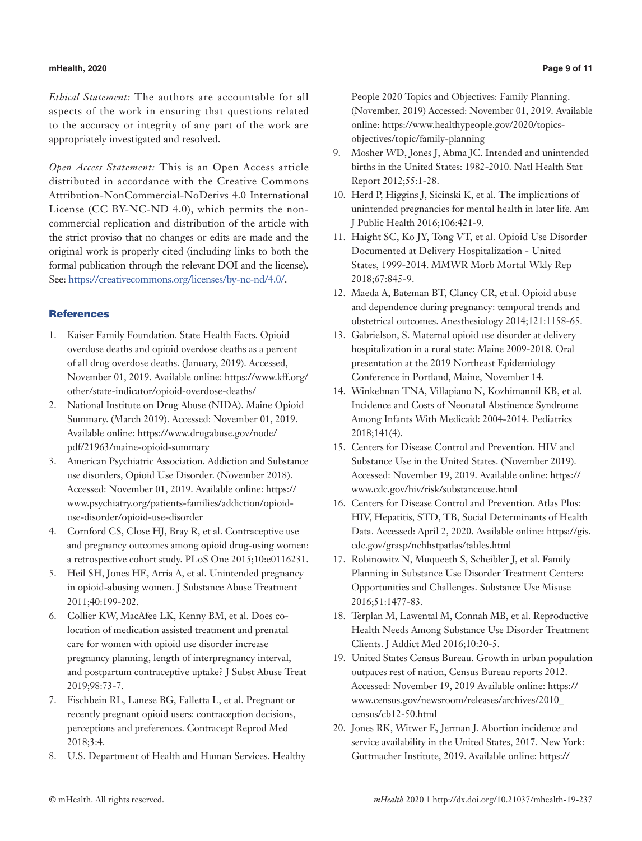# **mHealth, 2020 Page 9 of 11**

*Ethical Statement:* The authors are accountable for all aspects of the work in ensuring that questions related to the accuracy or integrity of any part of the work are appropriately investigated and resolved.

*Open Access Statement:* This is an Open Access article distributed in accordance with the Creative Commons Attribution-NonCommercial-NoDerivs 4.0 International License (CC BY-NC-ND 4.0), which permits the noncommercial replication and distribution of the article with the strict proviso that no changes or edits are made and the original work is properly cited (including links to both the formal publication through the relevant DOI and the license). See: <https://creativecommons.org/licenses/by-nc-nd/4.0/>.

# **References**

- 1. Kaiser Family Foundation. State Health Facts. Opioid overdose deaths and opioid overdose deaths as a percent of all drug overdose deaths. (January, 2019). Accessed, November 01, 2019. Available online: https://www.kff.org/ other/state-indicator/opioid-overdose-deaths/
- 2. National Institute on Drug Abuse (NIDA). Maine Opioid Summary. (March 2019). Accessed: November 01, 2019. Available online: https://www.drugabuse.gov/node/ pdf/21963/maine-opioid-summary
- 3. American Psychiatric Association. Addiction and Substance use disorders, Opioid Use Disorder. (November 2018). Accessed: November 01, 2019. Available online: https:// www.psychiatry.org/patients-families/addiction/opioiduse-disorder/opioid-use-disorder
- 4. Cornford CS, Close HJ, Bray R, et al. Contraceptive use and pregnancy outcomes among opioid drug-using women: a retrospective cohort study. PLoS One 2015;10:e0116231.
- 5. Heil SH, Jones HE, Arria A, et al. Unintended pregnancy in opioid-abusing women. J Substance Abuse Treatment 2011;40:199-202.
- 6. Collier KW, MacAfee LK, Kenny BM, et al. Does colocation of medication assisted treatment and prenatal care for women with opioid use disorder increase pregnancy planning, length of interpregnancy interval, and postpartum contraceptive uptake? J Subst Abuse Treat 2019;98:73-7.
- 7. Fischbein RL, Lanese BG, Falletta L, et al. Pregnant or recently pregnant opioid users: contraception decisions, perceptions and preferences. Contracept Reprod Med 2018;3:4.
- 8. U.S. Department of Health and Human Services. Healthy

People 2020 Topics and Objectives: Family Planning. (November, 2019) Accessed: November 01, 2019. Available online: https://www.healthypeople.gov/2020/topicsobjectives/topic/family-planning

- 9. Mosher WD, Jones J, Abma JC. Intended and unintended births in the United States: 1982-2010. Natl Health Stat Report 2012;55:1-28.
- 10. Herd P, Higgins J, Sicinski K, et al. The implications of unintended pregnancies for mental health in later life. Am J Public Health 2016;106:421-9.
- 11. Haight SC, Ko JY, Tong VT, et al. Opioid Use Disorder Documented at Delivery Hospitalization - United States, 1999-2014. MMWR Morb Mortal Wkly Rep 2018;67:845-9.
- 12. Maeda A, Bateman BT, Clancy CR, et al. Opioid abuse and dependence during pregnancy: temporal trends and obstetrical outcomes. Anesthesiology 2014;121:1158-65.
- 13. Gabrielson, S. Maternal opioid use disorder at delivery hospitalization in a rural state: Maine 2009-2018. Oral presentation at the 2019 Northeast Epidemiology Conference in Portland, Maine, November 14.
- 14. Winkelman TNA, Villapiano N, Kozhimannil KB, et al. Incidence and Costs of Neonatal Abstinence Syndrome Among Infants With Medicaid: 2004-2014. Pediatrics 2018;141(4).
- 15. Centers for Disease Control and Prevention. HIV and Substance Use in the United States. (November 2019). Accessed: November 19, 2019. Available online: https:// www.cdc.gov/hiv/risk/substanceuse.html
- 16. Centers for Disease Control and Prevention. Atlas Plus: HIV, Hepatitis, STD, TB, Social Determinants of Health Data. Accessed: April 2, 2020. Available online: https://gis. cdc.gov/grasp/nchhstpatlas/tables.html
- 17. Robinowitz N, Muqueeth S, Scheibler J, et al. Family Planning in Substance Use Disorder Treatment Centers: Opportunities and Challenges. Substance Use Misuse 2016;51:1477-83.
- 18. Terplan M, Lawental M, Connah MB, et al. Reproductive Health Needs Among Substance Use Disorder Treatment Clients. J Addict Med 2016;10:20-5.
- 19. United States Census Bureau. Growth in urban population outpaces rest of nation, Census Bureau reports 2012. Accessed: November 19, 2019 Available online: https:// www.census.gov/newsroom/releases/archives/2010\_ census/cb12-50.html
- 20. Jones RK, Witwer E, Jerman J. Abortion incidence and service availability in the United States, 2017. New York: Guttmacher Institute, 2019. Available online: https://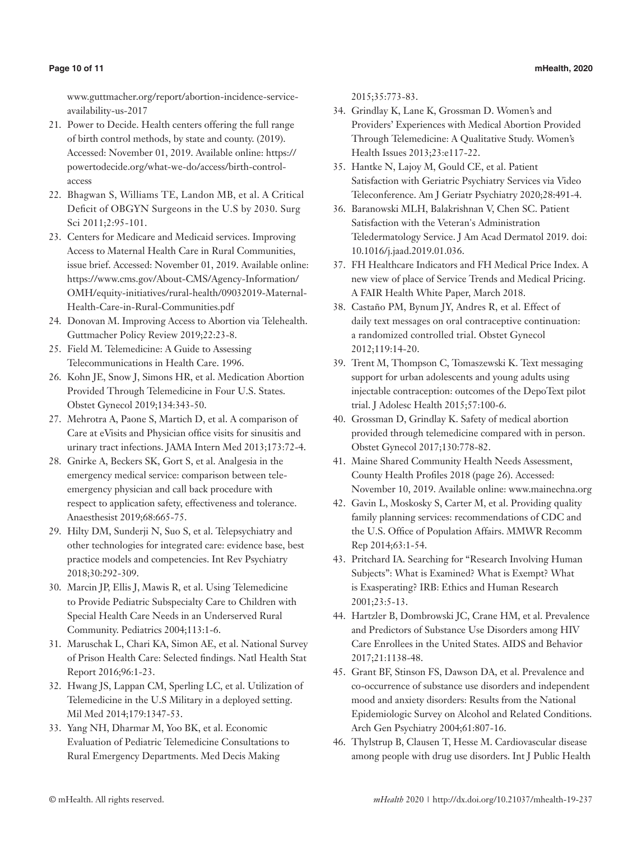www.guttmacher.org/report/abortion-incidence-serviceavailability-us-2017

- 21. Power to Decide. Health centers offering the full range of birth control methods, by state and county. (2019). Accessed: November 01, 2019. Available online: https:// powertodecide.org/what-we-do/access/birth-controlaccess
- 22. Bhagwan S, Williams TE, Landon MB, et al. A Critical Deficit of OBGYN Surgeons in the U.S by 2030. Surg Sci 2011;2:95-101.
- 23. Centers for Medicare and Medicaid services. Improving Access to Maternal Health Care in Rural Communities, issue brief. Accessed: November 01, 2019. Available online: https://www.cms.gov/About-CMS/Agency-Information/ OMH/equity-initiatives/rural-health/09032019-Maternal-Health-Care-in-Rural-Communities.pdf
- 24. Donovan M. Improving Access to Abortion via Telehealth. Guttmacher Policy Review 2019;22:23-8.
- 25. Field M. Telemedicine: A Guide to Assessing Telecommunications in Health Care. 1996.
- 26. Kohn JE, Snow J, Simons HR, et al. Medication Abortion Provided Through Telemedicine in Four U.S. States. Obstet Gynecol 2019;134:343-50.
- 27. Mehrotra A, Paone S, Martich D, et al. A comparison of Care at eVisits and Physician office visits for sinusitis and urinary tract infections. JAMA Intern Med 2013;173:72-4.
- 28. Gnirke A, Beckers SK, Gort S, et al. Analgesia in the emergency medical service: comparison between teleemergency physician and call back procedure with respect to application safety, effectiveness and tolerance. Anaesthesist 2019;68:665-75.
- 29. Hilty DM, Sunderji N, Suo S, et al. Telepsychiatry and other technologies for integrated care: evidence base, best practice models and competencies. Int Rev Psychiatry 2018;30:292-309.
- 30. Marcin JP, Ellis J, Mawis R, et al. Using Telemedicine to Provide Pediatric Subspecialty Care to Children with Special Health Care Needs in an Underserved Rural Community. Pediatrics 2004;113:1-6.
- 31. Maruschak L, Chari KA, Simon AE, et al. National Survey of Prison Health Care: Selected findings. Natl Health Stat Report 2016;96:1-23.
- 32. Hwang JS, Lappan CM, Sperling LC, et al. Utilization of Telemedicine in the U.S Military in a deployed setting. Mil Med 2014;179:1347-53.
- 33. Yang NH, Dharmar M, Yoo BK, et al. Economic Evaluation of Pediatric Telemedicine Consultations to Rural Emergency Departments. Med Decis Making

2015;35:773-83.

- 34. Grindlay K, Lane K, Grossman D. Women's and Providers' Experiences with Medical Abortion Provided Through Telemedicine: A Qualitative Study. Women's Health Issues 2013;23:e117-22.
- 35. Hantke N, Lajoy M, Gould CE, et al. Patient Satisfaction with Geriatric Psychiatry Services via Video Teleconference. Am J Geriatr Psychiatry 2020;28:491-4.
- 36. Baranowski MLH, Balakrishnan V, Chen SC. Patient Satisfaction with the Veteran's Administration Teledermatology Service. J Am Acad Dermatol 2019. doi: 10.1016/j.jaad.2019.01.036.
- 37. FH Healthcare Indicators and FH Medical Price Index. A new view of place of Service Trends and Medical Pricing. A FAIR Health White Paper, March 2018.
- 38. Castaño PM, Bynum JY, Andres R, et al. Effect of daily text messages on oral contraceptive continuation: a randomized controlled trial. Obstet Gynecol 2012;119:14-20.
- 39. Trent M, Thompson C, Tomaszewski K. Text messaging support for urban adolescents and young adults using injectable contraception: outcomes of the DepoText pilot trial. J Adolesc Health 2015;57:100-6.
- 40. Grossman D, Grindlay K. Safety of medical abortion provided through telemedicine compared with in person. Obstet Gynecol 2017;130:778-82.
- 41. Maine Shared Community Health Needs Assessment, County Health Profiles 2018 (page 26). Accessed: November 10, 2019. Available online: www.mainechna.org
- 42. Gavin L, Moskosky S, Carter M, et al. Providing quality family planning services: recommendations of CDC and the U.S. Office of Population Affairs. MMWR Recomm Rep 2014;63:1-54.
- 43. Pritchard IA. Searching for "Research Involving Human Subjects": What is Examined? What is Exempt? What is Exasperating? IRB: Ethics and Human Research 2001;23:5-13.
- 44. Hartzler B, Dombrowski JC, Crane HM, et al. Prevalence and Predictors of Substance Use Disorders among HIV Care Enrollees in the United States. AIDS and Behavior 2017;21:1138-48.
- 45. Grant BF, Stinson FS, Dawson DA, et al. Prevalence and co-occurrence of substance use disorders and independent mood and anxiety disorders: Results from the National Epidemiologic Survey on Alcohol and Related Conditions. Arch Gen Psychiatry 2004;61:807-16.
- 46. Thylstrup B, Clausen T, Hesse M. Cardiovascular disease among people with drug use disorders. Int J Public Health